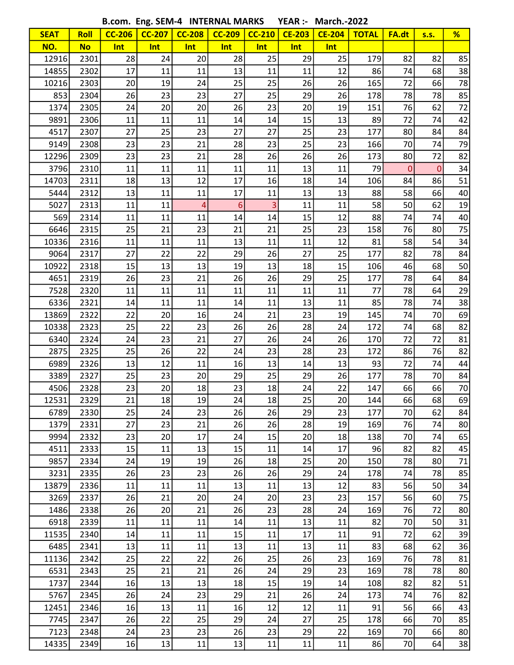B.com. Eng. SEM-4 INTERNAL MARKS YEAR :- March.-2022

|             |             | <b>D.COM. LIIB. JLIVI-4</b> |               |                | <b>IIALEUIANE INIMURA</b> |               |               | IVIAI LII.-ZUZZ |              |             |              |    |
|-------------|-------------|-----------------------------|---------------|----------------|---------------------------|---------------|---------------|-----------------|--------------|-------------|--------------|----|
| <b>SEAT</b> | <b>Roll</b> | <b>CC-206</b>               | <b>CC-207</b> | <b>CC-208</b>  | <b>CC-209</b>             | <b>CC-210</b> | <b>CE-203</b> | <b>CE-204</b>   | <b>TOTAL</b> | FA.dt       | <b>s.s.</b>  | %  |
| NO.         | <b>No</b>   | Int                         | Int           | Int            | Int                       | Int           | Int           | Int             |              |             |              |    |
| 12916       | 2301        | 28                          | 24            | 20             | 28                        | 25            | 29            | 25              | 179          | 82          | 82           | 85 |
| 14855       | 2302        | 17                          | 11            | 11             | 13                        | 11            | 11            | 12              | 86           | 74          | 68           | 38 |
| 10216       | 2303        | 20                          | 19            | 24             | 25                        | 25            | 26            | 26              | 165          | 72          | 66           | 78 |
| 853         | 2304        | 26                          | 23            | 23             | 27                        | 25            | 29            | 26              | 178          | 78          | 78           | 85 |
| 1374        | 2305        | 24                          | 20            | 20             | 26                        | 23            | 20            | 19              | 151          | 76          | 62           | 72 |
| 9891        | 2306        | 11                          | 11            | 11             | 14                        | 14            | 15            | 13              | 89           | 72          | 74           | 42 |
| 4517        | 2307        | 27                          | 25            | 23             | 27                        | 27            | 25            | 23              | 177          | 80          | 84           | 84 |
| 9149        | 2308        | 23                          | 23            | 21             | 28                        | 23            | 25            | 23              | 166          | 70          | 74           | 79 |
| 12296       | 2309        | 23                          | 23            | 21             | 28                        | 26            | 26            | 26              | 173          | 80          | 72           | 82 |
| 3796        | 2310        | 11                          | 11            | 11             | 11                        | 11            | 13            | 11              | 79           | $\mathbf 0$ | $\mathbf{0}$ | 34 |
| 14703       | 2311        | 18                          | 13            | 12             | 17                        | 16            | 18            | 14              | 106          | 84          | 86           | 51 |
| 5444        | 2312        | 13                          | 11            | 11             | 17                        | 11            | 13            | 13              | 88           | 58          | 66           | 40 |
| 5027        | 2313        | 11                          | 11            | $\overline{4}$ | 6                         | 3             | 11            | 11              | 58           | 50          | 62           | 19 |
| 569         | 2314        | 11                          | 11            | 11             | 14                        | 14            | 15            | 12              | 88           | 74          | 74           | 40 |
| 6646        | 2315        | 25                          | 21            | 23             | 21                        | 21            | 25            | 23              | 158          | 76          | 80           | 75 |
| 10336       | 2316        | 11                          | 11            | 11             | 13                        | 11            | 11            | 12              | 81           | 58          | 54           | 34 |
| 9064        | 2317        | 27                          | 22            | 22             | 29                        | 26            | 27            | 25              | 177          | 82          | 78           | 84 |
| 10922       | 2318        | 15                          | 13            | 13             | 19                        | 13            | 18            | 15              | 106          | 46          | 68           | 50 |
| 4651        | 2319        | 26                          | 23            | 21             | 26                        | 26            | 29            | 25              | 177          | 78          | 64           | 84 |
| 7528        | 2320        | 11                          | 11            | 11             | 11                        | 11            | 11            | 11              | 77           | 78          | 64           | 29 |
| 6336        | 2321        | 14                          | 11            | 11             | 14                        | 11            | 13            | 11              | 85           | 78          | 74           | 38 |
| 13869       | 2322        | 22                          | 20            | 16             | 24                        | 21            | 23            | 19              | 145          | 74          | 70           | 69 |
| 10338       | 2323        | 25                          | 22            | 23             | 26                        | 26            | 28            | 24              | 172          | 74          | 68           | 82 |
| 6340        | 2324        | 24                          | 23            | 21             | 27                        | 26            | 24            | 26              | 170          | 72          | 72           | 81 |
| 2875        | 2325        | 25                          | 26            | 22             | 24                        | 23            | 28            | 23              | 172          | 86          | 76           | 82 |
| 6989        | 2326        | 13                          | 12            | 11             | 16                        | 13            | 14            | 13              | 93           | 72          | 74           | 44 |
| 3389        | 2327        | 25                          | 23            | 20             | 29                        | 25            | 29            | 26              | 177          | 78          | 70           | 84 |
| 4506        | 2328        | 23                          | 20            | 18             | 23                        | 18            | 24            | 22              | 147          | 66          | 66           | 70 |
| 12531       | 2329        | 21                          | 18            | 19             | 24                        | 18            | 25            | 20              | 144          | 66          | 68           | 69 |
| 6789        | 2330        | 25                          | 24            | 23             | 26                        | 26            | 29            | 23              | 177          | 70          | 62           | 84 |
| 1379        | 2331        | 27                          | 23            | 21             | 26                        | 26            | 28            | 19              | 169          | 76          | 74           | 80 |
| 9994        | 2332        | 23                          | 20            | 17             | 24                        | 15            | 20            | 18              | 138          | 70          | 74           | 65 |
| 4511        | 2333        | 15                          | 11            | 13             | 15                        | 11            | 14            | 17              | 96           | 82          | 82           | 45 |
| 9857        | 2334        | 24                          | 19            | 19             | 26                        | 18            | 25            | 20              | 150          | 78          | 80           | 71 |
| 3231        | 2335        | 26                          | 23            | 23             | 26                        | 26            | 29            | 24              | 178          | 74          | 78           | 85 |
| 13879       | 2336        | 11                          | 11            | 11             | 13                        | 11            | 13            | 12              | 83           | 56          | 50           | 34 |
| 3269        | 2337        | 26                          | 21            | 20             | 24                        | 20            | 23            | 23              | 157          | 56          | 60           | 75 |
| 1486        | 2338        | 26                          | 20            | 21             | 26                        | 23            | 28            | 24              | 169          | 76          | 72           | 80 |
| 6918        | 2339        | 11                          | 11            | 11             | 14                        | 11            | 13            | 11              | 82           | 70          | 50           | 31 |
| 11535       | 2340        | 14                          | 11            | 11             | 15                        | 11            | 17            | 11              | 91           | 72          | 62           | 39 |
| 6485        | 2341        | 13                          | 11            | 11             | 13                        | 11            | 13            | 11              | 83           | 68          | 62           | 36 |
| 11136       | 2342        | 25                          | 22            | 22             | 26                        | 25            | 26            | 23              | 169          | 76          | 78           | 81 |
| 6531        | 2343        | 25                          | 21            | 21             | 26                        | 24            | 29            | 23              | 169          | 78          | 78           | 80 |
| 1737        | 2344        | 16                          | 13            | 13             | 18                        | 15            | 19            | 14              | 108          | 82          | 82           | 51 |
| 5767        | 2345        | 26                          | 24            | 23             | 29                        | 21            | 26            | 24              | 173          | 74          | 76           | 82 |
| 12451       | 2346        | 16                          | 13            | 11             | 16                        | 12            | 12            | 11              | 91           | 56          | 66           | 43 |
| 7745        | 2347        | 26                          | 22            | 25             | 29                        | 24            | 27            | 25              | 178          | 66          | 70           | 85 |
| 7123        | 2348        | 24                          | 23            | 23             | 26                        | 23            | 29            | 22              | 169          | 70          | 66           | 80 |
| 14335       | 2349        | 16                          | 13            | 11             | 13                        | 11            | 11            | 11              | 86           | 70          | 64           | 38 |
|             |             |                             |               |                |                           |               |               |                 |              |             |              |    |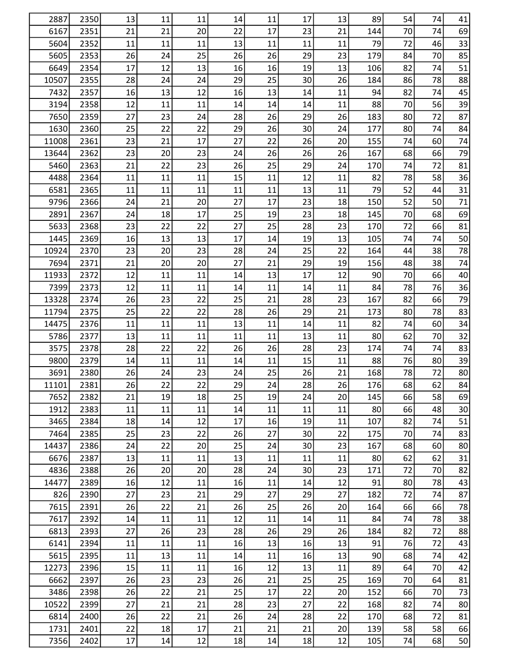| 2887         | 2350         | 13       | 11       | 11       | 14       | 11       | 17       | 13       | 89         | 54       | 74       | 41       |
|--------------|--------------|----------|----------|----------|----------|----------|----------|----------|------------|----------|----------|----------|
| 6167         | 2351         | 21       | 21       | 20       | 22       | 17       | 23       | 21       | 144        | 70       | 74       | 69       |
| 5604         | 2352         | 11       | 11       | 11       | 13       | 11       | 11       | 11       | 79         | 72       | 46       | 33       |
| 5605         | 2353         | 26       | 24       | 25       | 26       | 26       | 29       | 23       | 179        | 84       | 70       | 85       |
| 6649         | 2354         | 17       | 12       | 13       | 16       | 16       | 19       | 13       | 106        | 82       | 74       | 51       |
| 10507        | 2355         | 28       | 24       | 24       | 29       | 25       | 30       | 26       | 184        | 86       | 78       | 88       |
| 7432         | 2357         | 16       | 13       | 12       | 16       | 13       | 14       | 11       | 94         | 82       | 74       | 45       |
| 3194         | 2358         | 12       | 11       | 11       | 14       | 14       | 14       | 11       | 88         | 70       | 56       | 39       |
| 7650         | 2359         | 27       | 23       | 24       | 28       | 26       | 29       | 26       | 183        | 80       | 72       | 87       |
| 1630         | 2360         | 25       | 22       | 22       | 29       | 26       | 30       | 24       | 177        | 80       | 74       | 84       |
| 11008        | 2361         | 23       | 21       | 17       | 27       | 22       | 26       | 20       | 155        | 74       | 60       | 74       |
| 13644        | 2362         | 23       | 20       | 23       | 24       | 26       | 26       | 26       | 167        | 68       | 66       | 79       |
| 5460         | 2363         | 21       | 22       | 23       | 26       | 25       | 29       | 24       | 170        | 74       | 72       | 81       |
| 4488         | 2364         | 11       | 11       | 11       | 15       | 11       | 12       | 11       | 82         | 78       | 58       | 36       |
| 6581         | 2365         | 11       | 11       | 11       | 11       | 11       | 13       | 11       | 79         | 52       | 44       | 31       |
| 9796         | 2366         | 24       | 21       | 20       | 27       | 17       | 23       | 18       | 150        | 52       | 50       | 71       |
| 2891         | 2367         | 24       | 18       | 17       | 25       | 19       | 23       | 18       | 145        | 70       | 68       | 69       |
| 5633         | 2368         | 23       | 22       | 22       | 27       | 25       | 28       | 23       | 170        | 72       | 66       | 81       |
| 1445         | 2369         | 16       | 13       | 13       | 17       | 14       | 19       | 13       | 105        | 74       | 74       | 50       |
| 10924        | 2370         | 23       | 20       | 23       | 28       | 24       | 25       | 22       | 164        | 44       | 38       | 78       |
| 7694         | 2371         | 21       | 20       | 20       | 27       | 21       | 29       | 19       | 156        | 48       | 38       | 74       |
| 11933        | 2372         | 12       | 11       | 11       | 14       | 13       | 17       | 12       | 90         | 70       | 66       | 40       |
| 7399         | 2373         | 12       | 11       | 11       | 14       | 11       | 14       | 11       | 84         | 78       | 76       | 36       |
| 13328        | 2374         | 26       | 23       | 22       | 25       | 21       | 28       | 23       | 167        | 82       | 66       | 79       |
| 11794        | 2375         | 25       | 22       | 22       | 28       | 26       | 29       | 21       | 173        | 80       | 78       | 83       |
| 14475        | 2376         | 11       | 11       | 11       | 13       | 11       | 14       | 11       | 82         | 74       | 60       | 34       |
| 5786         | 2377         | 13       | 11       | 11       | 11       | 11       | 13       | 11       | 80         | 62       | 70       | 32       |
| 3575         | 2378         | 28       | 22       | 22       | 26       | 26       | 28       | 23       | 174        | 74       | 74       | 83       |
| 9800         | 2379         | 14       | 11       | 11       | 14       | 11       | 15       | 11       | 88         | 76       | 80       | 39       |
| 3691         | 2380         | 26       | 24       | 23       | 24       | 25       | 26       | 21       | 168        | 78       | 72       | 80       |
| 11101        | 2381         | 26       | 22       | 22       | 29       | 24       | 28       | 26       | 176        | 68       | 62       | 84       |
| 7652         | 2382         | 21       | 19       | 18       | 25       | 19       | 24       | 20       | 145        | 66       | 58       | 69       |
| 1912         | 2383         | 11       | 11       | 11       | 14       | 11       | 11       | 11       | 80         | 66       | 48       | 30       |
| 3465         | 2384         | 18       | 14       | 12       | 17       | 16       | 19       | 11       | 107        | 82       | 74       | 51       |
| 7464         | 2385         | 25       | 23       | 22       | 26       | 27       | 30       | 22       | 175        | 70       | 74       | 83       |
| 14437        | 2386         | 24       | 22       | 20       | 25       | 24       | 30       | 23       | 167        | 68       | 60       | 80       |
| 6676         | 2387         | 13       | 11       | 11       | 13       | 11       | 11       | 11       | 80         | 62       | 62       | 31       |
| 4836         | 2388         | 26       | 20       | 20       | 28       | 24       | 30       | 23       | 171        | 72       | 70       | 82       |
| 14477        | 2389         | 16       | 12       | 11       | 16       | 11       | 14       | 12       | 91         | 80       | 78       | 43       |
| 826          | 2390         | 27       | 23       | 21       | 29       | 27       | 29       | 27       | 182        | 72       | 74       | 87       |
| 7615         | 2391         | 26       | 22       | 21       | 26       | 25       | 26       | 20       | 164        | 66       | 66       | 78       |
| 7617         | 2392         | 14       | 11       | 11       | 12       | 11       | 14       | 11       | 84         | 74       | 78       | 38       |
| 6813         | 2393         | 27       | 26       | 23       | 28       | 26       | 29       | 26       | 184        | 82       | 72       | 88       |
| 6141         | 2394         | 11       | 11       | 11       | 16       | 13       | 16       | 13       | 91         | 76       | 72       | 43       |
| 5615         | 2395         | 11       | 13       | 11       | 14       | 11       | 16       | 13       | 90         | 68       | 74       | 42       |
| 12273        | 2396         | 15       | 11       | 11       | 16       | 12       | 13       | 11       | 89         | 64       | 70       | 42       |
|              |              |          |          |          |          |          |          |          |            |          |          |          |
| 6662<br>3486 | 2397         | 26       | 23       | 23<br>21 | 26<br>25 | 21<br>17 | 25<br>22 | 25<br>20 | 169<br>152 | 70<br>66 | 64<br>70 | 81       |
| 10522        | 2398<br>2399 | 26<br>27 | 22<br>21 | 21       | 28       | 23       | 27       | 22       | 168        | 82       | 74       | 73<br>80 |
| 6814         | 2400         |          | 22       | 21       | 26       | 24       | 28       | 22       | 170        | 68       | 72       | 81       |
|              |              | 26       |          |          |          |          |          |          | 139        |          | 58       |          |
| 1731         | 2401         | 22       | 18       | 17       | 21       | 21       | 21       | 20       |            | 58       |          | 66       |
| 7356         | 2402         | 17       | 14       | 12       | 18       | 14       | 18       | 12       | 105        | 74       | 68       | 50       |